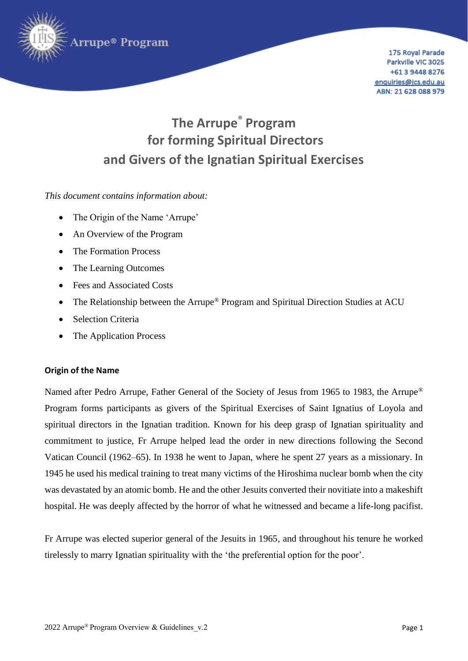

175 Royal Parade Parkville VIC 3025 +61 3 9448 8276 enquiries@jcs.edu.au ABN: 21 628 088 979

# **The Arrupe® Program for forming Spiritual Directors and Givers of the Ignatian Spiritual Exercises**

*This document contains information about:*

- The Origin of the Name 'Arrupe'
- An Overview of the Program
- The Formation Process
- The Learning Outcomes
- Fees and Associated Costs
- The Relationship between the Arrupe<sup>®</sup> Program and Spiritual Direction Studies at ACU
- Selection Criteria
- The Application Process

### **Origin of the Name**

Named after Pedro Arrupe, Father General of the Society of Jesus from 1965 to 1983, the Arrupe<sup>®</sup> Program forms participants as givers of the Spiritual Exercises of Saint Ignatius of Loyola and spiritual directors in the Ignatian tradition. Known for his deep grasp of Ignatian spirituality and commitment to justice, Fr Arrupe helped lead the order in new directions following the Second Vatican Council (1962–65). In 1938 he went to Japan, where he spent 27 years as a missionary. In 1945 he used his medical training to treat many victims of the Hiroshima nuclear bomb when the city was devastated by an atomic bomb. He and the other Jesuits converted their novitiate into a makeshift hospital. He was deeply affected by the horror of what he witnessed and became a life-long pacifist.

Fr Arrupe was elected superior general of the Jesuits in 1965, and throughout his tenure he worked tirelessly to marry Ignatian spirituality with the 'the preferential option for the poor'.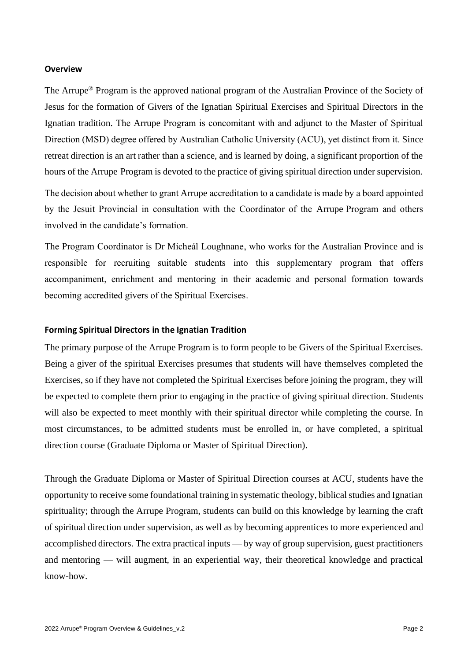#### **Overview**

The Arrupe® Program is the approved national program of the Australian Province of the Society of Jesus for the formation of Givers of the Ignatian Spiritual Exercises and Spiritual Directors in the Ignatian tradition. The Arrupe Program is concomitant with and adjunct to the Master of Spiritual Direction (MSD) degree offered by Australian Catholic University (ACU), yet distinct from it. Since retreat direction is an art rather than a science, and is learned by doing, a significant proportion of the hours of the Arrupe Program is devoted to the practice of giving spiritual direction under supervision.

The decision about whether to grant Arrupe accreditation to a candidate is made by a board appointed by the Jesuit Provincial in consultation with the Coordinator of the Arrupe Program and others involved in the candidate's formation.

The Program Coordinator is Dr Micheál Loughnane, who works for the Australian Province and is responsible for recruiting suitable students into this supplementary program that offers accompaniment, enrichment and mentoring in their academic and personal formation towards becoming accredited givers of the Spiritual Exercises.

#### **Forming Spiritual Directors in the Ignatian Tradition**

The primary purpose of the Arrupe Program is to form people to be Givers of the Spiritual Exercises. Being a giver of the spiritual Exercises presumes that students will have themselves completed the Exercises, so if they have not completed the Spiritual Exercises before joining the program, they will be expected to complete them prior to engaging in the practice of giving spiritual direction. Students will also be expected to meet monthly with their spiritual director while completing the course. In most circumstances, to be admitted students must be enrolled in, or have completed, a spiritual direction course (Graduate Diploma or Master of Spiritual Direction).

Through the Graduate Diploma or Master of Spiritual Direction courses at ACU, students have the opportunity to receive some foundational training in systematic theology, biblical studies and Ignatian spirituality; through the Arrupe Program, students can build on this knowledge by learning the craft of spiritual direction under supervision, as well as by becoming apprentices to more experienced and accomplished directors. The extra practical inputs — by way of group supervision, guest practitioners and mentoring — will augment, in an experiential way, their theoretical knowledge and practical know-how.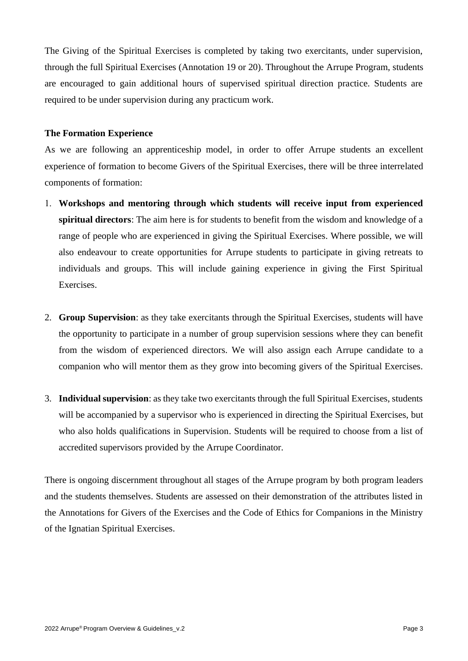The Giving of the Spiritual Exercises is completed by taking two exercitants, under supervision, through the full Spiritual Exercises (Annotation 19 or 20). Throughout the Arrupe Program, students are encouraged to gain additional hours of supervised spiritual direction practice. Students are required to be under supervision during any practicum work.

## **The Formation Experience**

As we are following an apprenticeship model, in order to offer Arrupe students an excellent experience of formation to become Givers of the Spiritual Exercises, there will be three interrelated components of formation:

- 1. **Workshops and mentoring through which students will receive input from experienced spiritual directors**: The aim here is for students to benefit from the wisdom and knowledge of a range of people who are experienced in giving the Spiritual Exercises. Where possible, we will also endeavour to create opportunities for Arrupe students to participate in giving retreats to individuals and groups. This will include gaining experience in giving the First Spiritual Exercises.
- 2. **Group Supervision**: as they take exercitants through the Spiritual Exercises, students will have the opportunity to participate in a number of group supervision sessions where they can benefit from the wisdom of experienced directors. We will also assign each Arrupe candidate to a companion who will mentor them as they grow into becoming givers of the Spiritual Exercises.
- 3. **Individual supervision**: as they take two exercitants through the full Spiritual Exercises, students will be accompanied by a supervisor who is experienced in directing the Spiritual Exercises, but who also holds qualifications in Supervision. Students will be required to choose from a list of accredited supervisors provided by the Arrupe Coordinator.

There is ongoing discernment throughout all stages of the Arrupe program by both program leaders and the students themselves. Students are assessed on their demonstration of the attributes listed in the Annotations for Givers of the Exercises and the Code of Ethics for Companions in the Ministry of the Ignatian Spiritual Exercises.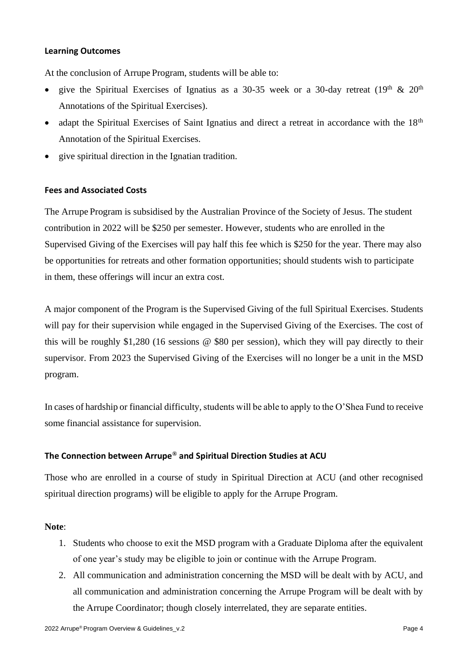#### **Learning Outcomes**

At the conclusion of Arrupe Program, students will be able to:

- give the Spiritual Exercises of Ignatius as a 30-35 week or a 30-day retreat  $(19<sup>th</sup> \& 20<sup>th</sup>$ Annotations of the Spiritual Exercises).
- adapt the Spiritual Exercises of Saint Ignatius and direct a retreat in accordance with the 18<sup>th</sup> Annotation of the Spiritual Exercises.
- give spiritual direction in the Ignatian tradition.

### **Fees and Associated Costs**

The Arrupe Program is subsidised by the Australian Province of the Society of Jesus. The student contribution in 2022 will be \$250 per semester. However, students who are enrolled in the Supervised Giving of the Exercises will pay half this fee which is \$250 for the year. There may also be opportunities for retreats and other formation opportunities; should students wish to participate in them, these offerings will incur an extra cost.

A major component of the Program is the Supervised Giving of the full Spiritual Exercises. Students will pay for their supervision while engaged in the Supervised Giving of the Exercises. The cost of this will be roughly \$1,280 (16 sessions @ \$80 per session), which they will pay directly to their supervisor. From 2023 the Supervised Giving of the Exercises will no longer be a unit in the MSD program.

In cases of hardship or financial difficulty, students will be able to apply to the O'Shea Fund to receive some financial assistance for supervision.

# **The Connection between Arrupe® and Spiritual Direction Studies at ACU**

Those who are enrolled in a course of study in Spiritual Direction at ACU (and other recognised spiritual direction programs) will be eligible to apply for the Arrupe Program.

### **Note**:

- 1. Students who choose to exit the MSD program with a Graduate Diploma after the equivalent of one year's study may be eligible to join or continue with the Arrupe Program.
- 2. All communication and administration concerning the MSD will be dealt with by ACU, and all communication and administration concerning the Arrupe Program will be dealt with by the Arrupe Coordinator; though closely interrelated, they are separate entities.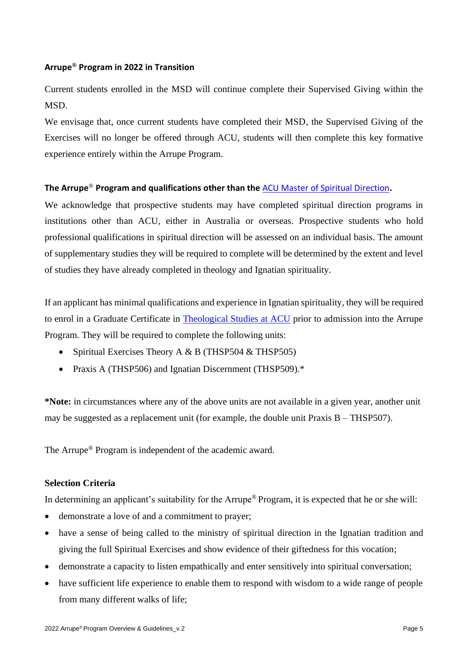# **Arrupe® Program in 2022 in Transition**

Current students enrolled in the MSD will continue complete their Supervised Giving within the MSD.

We envisage that, once current students have completed their MSD, the Supervised Giving of the Exercises will no longer be offered through ACU, students will then complete this key formative experience entirely within the Arrupe Program.

# **The Arrupe**® **Program and qualifications other than the** [ACU Master of Spiritual Direction](https://www.acu.edu.au/course/master-of-spiritual-direction)**.**

We acknowledge that prospective students may have completed spiritual direction programs in institutions other than ACU, either in Australia or overseas. Prospective students who hold professional qualifications in spiritual direction will be assessed on an individual basis. The amount of supplementary studies they will be required to complete will be determined by the extent and level of studies they have already completed in theology and Ignatian spirituality.

If an applicant has minimal qualifications and experience in Ignatian spirituality, they will be required to enrol in a Graduate Certificate in [Theological Studies at ACU](https://www.acu.edu.au/course/graduate-diploma-in-theological-studies) prior to admission into the Arrupe Program. They will be required to complete the following units:

- Spiritual Exercises Theory A & B (THSP504 & THSP505)
- Praxis A (THSP506) and Ignatian Discernment (THSP509).\*

**\*Note:** in circumstances where any of the above units are not available in a given year, another unit may be suggested as a replacement unit (for example, the double unit Praxis B – THSP507).

The Arrupe® Program is independent of the academic award.

# **Selection Criteria**

In determining an applicant's suitability for the Arrupe® Program, it is expected that he or she will:

- demonstrate a love of and a commitment to prayer;
- have a sense of being called to the ministry of spiritual direction in the Ignatian tradition and giving the full Spiritual Exercises and show evidence of their giftedness for this vocation;
- demonstrate a capacity to listen empathically and enter sensitively into spiritual conversation;
- have sufficient life experience to enable them to respond with wisdom to a wide range of people from many different walks of life;